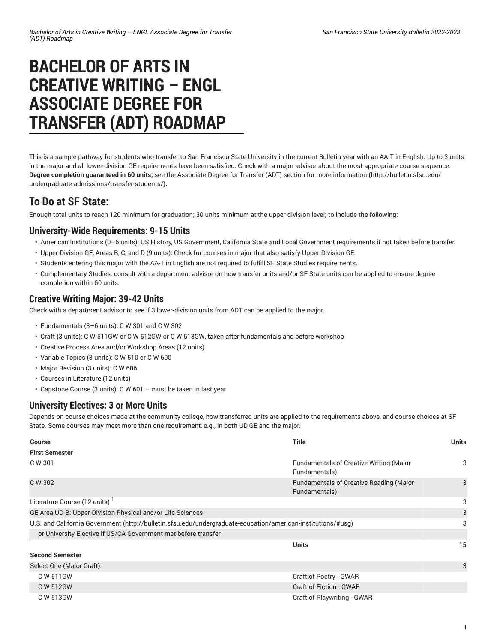# **BACHELOR OF ARTS IN CREATIVE WRITING – ENGL ASSOCIATE DEGREE FOR TRANSFER (ADT) ROADMAP**

This is a sample pathway for students who transfer to San Francisco State University in the current Bulletin year with an AA-T in English. Up to 3 units in the major and all lower-division GE requirements have been satisfied. Check with a major advisor about the most appropriate course sequence. **Degree completion guaranteed in 60 units;** see the Associate Degree for Transfer (ADT) section for more [information](http://bulletin.sfsu.edu/undergraduate-admissions/transfer-students/) **(**[http://bulletin.sfsu.edu/](http://bulletin.sfsu.edu/undergraduate-admissions/transfer-students/) [undergraduate-admissions/transfer-students/](http://bulletin.sfsu.edu/undergraduate-admissions/transfer-students/)**).**

## **To Do at SF State:**

Enough total units to reach 120 minimum for graduation; 30 units minimum at the upper-division level; to include the following:

#### **University-Wide Requirements: 9-15 Units**

- American Institutions (0–6 units): US History, US Government, California State and Local Government requirements if not taken before transfer.
- Upper-Division GE, Areas B, C, and D (9 units): Check for courses in major that also satisfy Upper-Division GE.
- Students entering this major with the AA-T in English are not required to fulfill SF State Studies requirements.
- Complementary Studies: consult with a department advisor on how transfer units and/or SF State units can be applied to ensure degree completion within 60 units.

#### **Creative Writing Major: 39-42 Units**

Check with a department advisor to see if 3 lower-division units from ADT can be applied to the major.

- Fundamentals (3–6 units): C W 301 and C W 302
- Craft (3 units): C W 511GW or C W 512GW or C W 513GW, taken after fundamentals and before workshop
- Creative Process Area and/or Workshop Areas (12 units)
- Variable Topics (3 units): C W 510 or C W 600
- Major Revision (3 units): C W 606
- Courses in Literature (12 units)
- Capstone Course (3 units): C W 601 must be taken in last year

### **University Electives: 3 or More Units**

Depends on course choices made at the community college, how transferred units are applied to the requirements above, and course choices at SF State. Some courses may meet more than one requirement, e.g., in both UD GE and the major.

| <b>Course</b><br><b>First Semester</b>                                                                       | Title                                                           | <b>Units</b> |
|--------------------------------------------------------------------------------------------------------------|-----------------------------------------------------------------|--------------|
| C W 301                                                                                                      | <b>Fundamentals of Creative Writing (Major</b><br>Fundamentals) | 3            |
| C W 302                                                                                                      | <b>Fundamentals of Creative Reading (Major</b><br>Fundamentals) | 3            |
| Literature Course (12 units)                                                                                 |                                                                 | 3            |
| GE Area UD-B: Upper-Division Physical and/or Life Sciences                                                   |                                                                 | 3            |
| U.S. and California Government (http://bulletin.sfsu.edu/undergraduate-education/american-institutions/#usq) |                                                                 | 3            |
| or University Elective if US/CA Government met before transfer                                               |                                                                 |              |
|                                                                                                              | <b>Units</b>                                                    | 15           |
| <b>Second Semester</b>                                                                                       |                                                                 |              |
| Select One (Major Craft):                                                                                    |                                                                 | 3            |
| C W 511GW                                                                                                    | Craft of Poetry - GWAR                                          |              |
| C W 512GW                                                                                                    | <b>Craft of Fiction - GWAR</b>                                  |              |
| C W 513GW                                                                                                    | Craft of Playwriting - GWAR                                     |              |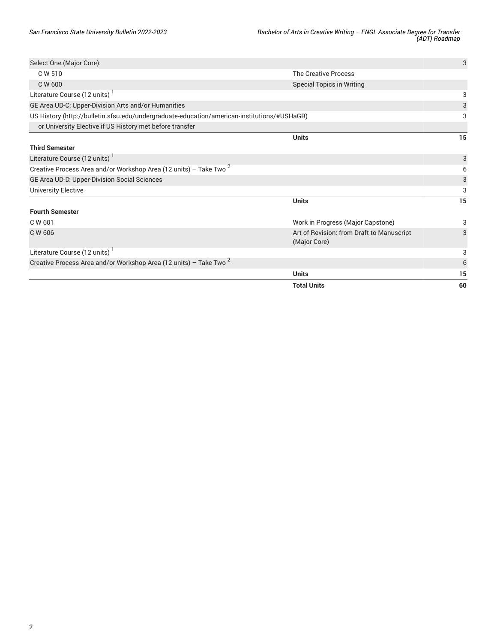|                                                                                             | <b>Total Units</b>                                        | 60 |
|---------------------------------------------------------------------------------------------|-----------------------------------------------------------|----|
|                                                                                             | <b>Units</b>                                              | 15 |
| Creative Process Area and/or Workshop Area (12 units) - Take Two $^2$                       |                                                           | 6  |
| Literature Course (12 units)                                                                |                                                           | 3  |
| C W 606                                                                                     | Art of Revision: from Draft to Manuscript<br>(Major Core) | 3  |
| C W 601                                                                                     | Work in Progress (Major Capstone)                         | 3  |
| <b>Fourth Semester</b>                                                                      |                                                           |    |
|                                                                                             | <b>Units</b>                                              | 15 |
| <b>University Elective</b>                                                                  |                                                           | 3  |
| GE Area UD-D: Upper-Division Social Sciences                                                |                                                           | 3  |
| Creative Process Area and/or Workshop Area (12 units) - Take Two <sup>2</sup>               |                                                           | 6  |
| Literature Course (12 units)                                                                |                                                           | 3  |
| <b>Third Semester</b>                                                                       |                                                           |    |
|                                                                                             | <b>Units</b>                                              | 15 |
| or University Elective if US History met before transfer                                    |                                                           |    |
| US History (http://bulletin.sfsu.edu/undergraduate-education/american-institutions/#USHaGR) |                                                           | 3  |
| GE Area UD-C: Upper-Division Arts and/or Humanities                                         |                                                           | 3  |
| Literature Course (12 units)                                                                |                                                           | 3  |
| C W 600                                                                                     | <b>Special Topics in Writing</b>                          |    |
| C W 510                                                                                     | The Creative Process                                      |    |
| Select One (Major Core):                                                                    |                                                           | 3  |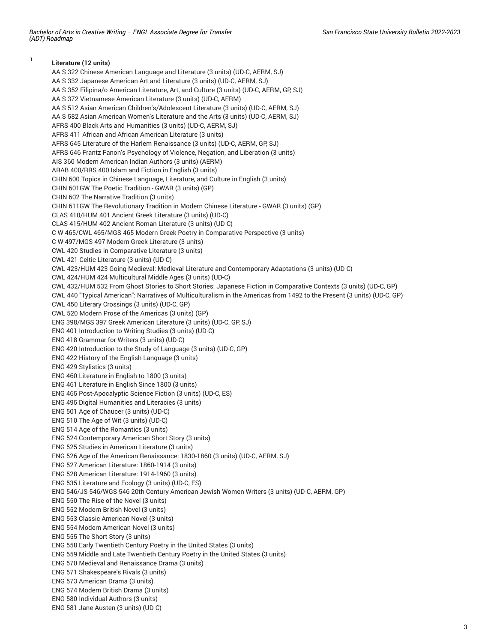1

**Literature (12 units)** AA S 322 Chinese American Language and Literature (3 units) (UD-C, AERM, SJ) AA S 332 Japanese American Art and Literature (3 units) (UD-C, AERM, SJ) AA S 352 Filipina/o American Literature, Art, and Culture (3 units) (UD-C, AERM, GP, SJ) AA S 372 Vietnamese American Literature (3 units) (UD-C, AERM) AA S 512 Asian American Children's/Adolescent Literature (3 units) (UD-C, AERM, SJ) AA S 582 Asian American Women's Literature and the Arts (3 units) (UD-C, AERM, SJ) AFRS 400 Black Arts and Humanities (3 units) (UD-C, AERM, SJ) AFRS 411 African and African American Literature (3 units) AFRS 645 Literature of the Harlem Renaissance (3 units) (UD-C, AERM, GP, SJ) AFRS 646 Frantz Fanon's Psychology of Violence, Negation, and Liberation (3 units) AIS 360 Modern American Indian Authors (3 units) (AERM) ARAB 400/RRS 400 Islam and Fiction in English (3 units) CHIN 600 Topics in Chinese Language, Literature, and Culture in English (3 units) CHIN 601GW The Poetic Tradition - GWAR (3 units) (GP) CHIN 602 The Narrative Tradition (3 units) CHIN 611GW The Revolutionary Tradition in Modern Chinese Literature - GWAR (3 units) (GP) CLAS 410/HUM 401 Ancient Greek Literature (3 units) (UD-C) CLAS 415/HUM 402 Ancient Roman Literature (3 units) (UD-C) C W 465/CWL 465/MGS 465 Modern Greek Poetry in Comparative Perspective (3 units) C W 497/MGS 497 Modern Greek Literature (3 units) CWL 420 Studies in Comparative Literature (3 units) CWL 421 Celtic Literature (3 units) (UD-C) CWL 423/HUM 423 Going Medieval: Medieval Literature and Contemporary Adaptations (3 units) (UD-C) CWL 424/HUM 424 Multicultural Middle Ages (3 units) (UD-C) CWL 432/HUM 532 From Ghost Stories to Short Stories: Japanese Fiction in Comparative Contexts (3 units) (UD-C, GP) CWL 440 "Typical American": Narratives of Multiculturalism in the Americas from 1492 to the Present (3 units) (UD-C, GP) CWL 450 Literary Crossings (3 units) (UD-C, GP) CWL 520 Modern Prose of the Americas (3 units) (GP) ENG 398/MGS 397 Greek American Literature (3 units) (UD-C, GP, SJ) ENG 401 Introduction to Writing Studies (3 units) (UD-C) ENG 418 Grammar for Writers (3 units) (UD-C) ENG 420 Introduction to the Study of Language (3 units) (UD-C, GP) ENG 422 History of the English Language (3 units) ENG 429 Stylistics (3 units) ENG 460 Literature in English to 1800 (3 units) ENG 461 Literature in English Since 1800 (3 units) ENG 465 Post-Apocalyptic Science Fiction (3 units) (UD-C, ES) ENG 495 Digital Humanities and Literacies (3 units) ENG 501 Age of Chaucer (3 units) (UD-C) ENG 510 The Age of Wit (3 units) (UD-C) ENG 514 Age of the Romantics (3 units) ENG 524 Contemporary American Short Story (3 units) ENG 525 Studies in American Literature (3 units) ENG 526 Age of the American Renaissance: 1830-1860 (3 units) (UD-C, AERM, SJ) ENG 527 American Literature: 1860-1914 (3 units) ENG 528 American Literature: 1914-1960 (3 units) ENG 535 Literature and Ecology (3 units) (UD-C, ES) ENG 546/JS 546/WGS 546 20th Century American Jewish Women Writers (3 units) (UD-C, AERM, GP) ENG 550 The Rise of the Novel (3 units) ENG 552 Modern British Novel (3 units) ENG 553 Classic American Novel (3 units) ENG 554 Modern American Novel (3 units) ENG 555 The Short Story (3 units) ENG 558 Early Twentieth Century Poetry in the United States (3 units) ENG 559 Middle and Late Twentieth Century Poetry in the United States (3 units) ENG 570 Medieval and Renaissance Drama (3 units) ENG 571 Shakespeare's Rivals (3 units) ENG 573 American Drama (3 units) ENG 574 Modern British Drama (3 units) ENG 580 Individual Authors (3 units) ENG 581 Jane Austen (3 units) (UD-C)